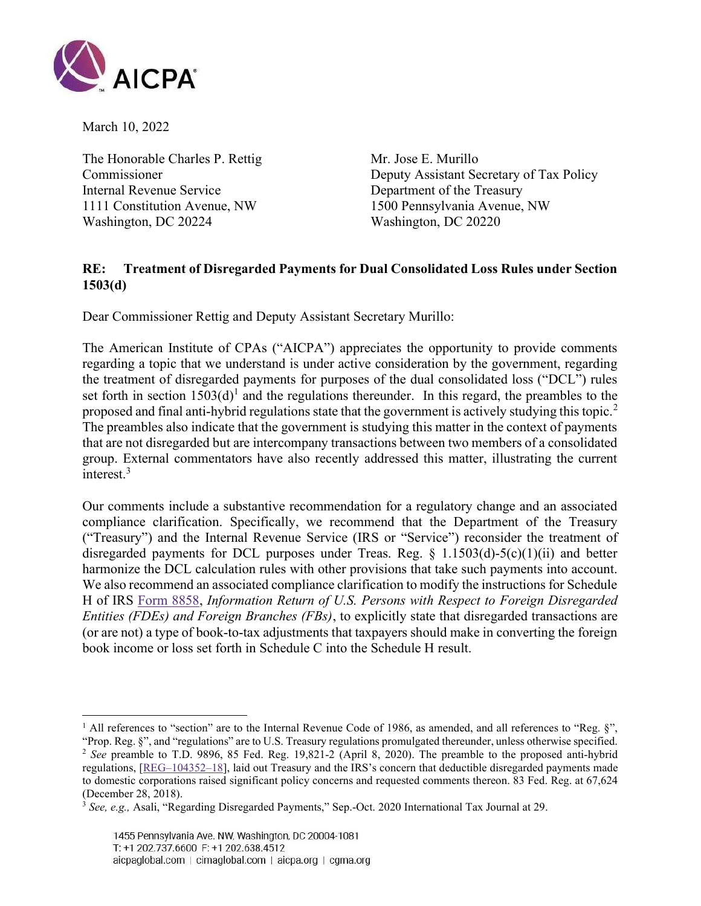

March 10, 2022

The Honorable Charles P. Rettig Mr. Jose E. Murillo Internal Revenue Service Department of the Treasury 1111 Constitution Avenue, NW 1500 Pennsylvania Avenue, NW Washington, DC 20224 Washington, DC 20220

Commissioner Deputy Assistant Secretary of Tax Policy

## RE: Treatment of Disregarded Payments for Dual Consolidated Loss Rules under Section 1503(d)

Dear Commissioner Rettig and Deputy Assistant Secretary Murillo:

The American Institute of CPAs ("AICPA") appreciates the opportunity to provide comments regarding a topic that we understand is under active consideration by the government, regarding the treatment of disregarded payments for purposes of the dual consolidated loss ("DCL") rules set forth in section  $1503(d)$ <sup>1</sup> and the regulations thereunder. In this regard, the preambles to the proposed and final anti-hybrid regulations state that the government is actively studying this topic.<sup>2</sup> The preambles also indicate that the government is studying this matter in the context of payments that are not disregarded but are intercompany transactions between two members of a consolidated group. External commentators have also recently addressed this matter, illustrating the current interest.<sup>3</sup>

Our comments include a substantive recommendation for a regulatory change and an associated compliance clarification. Specifically, we recommend that the Department of the Treasury ("Treasury") and the Internal Revenue Service (IRS or "Service") reconsider the treatment of disregarded payments for DCL purposes under Treas. Reg.  $\S$  1.1503(d)-5(c)(1)(ii) and better harmonize the DCL calculation rules with other provisions that take such payments into account. We also recommend an associated compliance clarification to modify the instructions for Schedule H of IRS Form 8858, Information Return of U.S. Persons with Respect to Foreign Disregarded Entities (FDEs) and Foreign Branches (FBs), to explicitly state that disregarded transactions are (or are not) a type of book-to-tax adjustments that taxpayers should make in converting the foreign book income or loss set forth in Schedule C into the Schedule H result.

<sup>&</sup>lt;sup>1</sup> All references to "section" are to the Internal Revenue Code of 1986, as amended, and all references to "Reg.  $\S$ ", "Prop. Reg. §", and "regulations" are to U.S. Treasury regulations promulgated thereunder, unless otherwise specified. <sup>2</sup> See preamble to T.D. 9896, 85 Fed. Reg. 19,821-2 (April 8, 2020). The preamble to the proposed anti-hybrid regulations, [REG–104352–18], laid out Treasury and the IRS's concern that deductible disregarded payments made to domestic corporations raised significant policy concerns and requested comments thereon. 83 Fed. Reg. at 67,624 (December 28, 2018).

 $3$  See, e.g., Asali, "Regarding Disregarded Payments," Sep.-Oct. 2020 International Tax Journal at 29.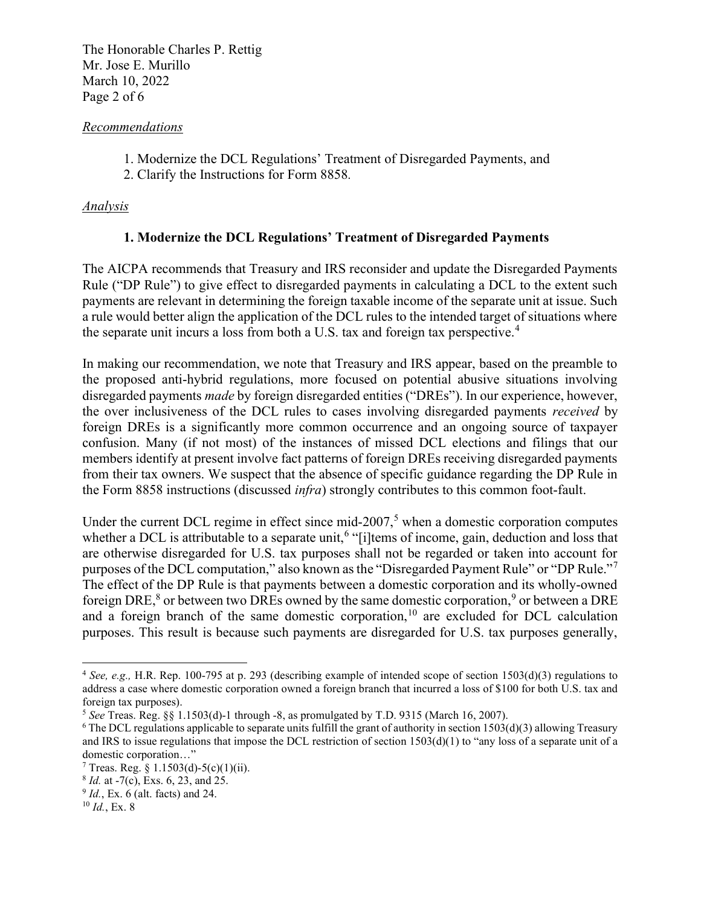The Honorable Charles P. Rettig Mr. Jose E. Murillo March 10, 2022 Page 2 of 6

### Recommendations

- 1. Modernize the DCL Regulations' Treatment of Disregarded Payments, and
- 2. Clarify the Instructions for Form 8858.

## Analysis

# 1. Modernize the DCL Regulations' Treatment of Disregarded Payments

The AICPA recommends that Treasury and IRS reconsider and update the Disregarded Payments Rule ("DP Rule") to give effect to disregarded payments in calculating a DCL to the extent such payments are relevant in determining the foreign taxable income of the separate unit at issue. Such a rule would better align the application of the DCL rules to the intended target of situations where the separate unit incurs a loss from both a U.S. tax and foreign tax perspective.<sup>4</sup>

In making our recommendation, we note that Treasury and IRS appear, based on the preamble to the proposed anti-hybrid regulations, more focused on potential abusive situations involving disregarded payments *made* by foreign disregarded entities ("DREs"). In our experience, however, the over inclusiveness of the DCL rules to cases involving disregarded payments received by foreign DREs is a significantly more common occurrence and an ongoing source of taxpayer confusion. Many (if not most) of the instances of missed DCL elections and filings that our members identify at present involve fact patterns of foreign DREs receiving disregarded payments from their tax owners. We suspect that the absence of specific guidance regarding the DP Rule in the Form 8858 instructions (discussed infra) strongly contributes to this common foot-fault.

Under the current DCL regime in effect since mid-2007,<sup>5</sup> when a domestic corporation computes whether a DCL is attributable to a separate unit,<sup>6</sup> "[i]tems of income, gain, deduction and loss that are otherwise disregarded for U.S. tax purposes shall not be regarded or taken into account for purposes of the DCL computation," also known as the "Disregarded Payment Rule" or "DP Rule."<sup>7</sup> The effect of the DP Rule is that payments between a domestic corporation and its wholly-owned foreign DRE,<sup>8</sup> or between two DREs owned by the same domestic corporation,<sup>9</sup> or between a DRE and a foreign branch of the same domestic corporation,<sup>10</sup> are excluded for DCL calculation purposes. This result is because such payments are disregarded for U.S. tax purposes generally,

<sup>&</sup>lt;sup>4</sup> See, e.g., H.R. Rep. 100-795 at p. 293 (describing example of intended scope of section 1503(d)(3) regulations to address a case where domestic corporation owned a foreign branch that incurred a loss of \$100 for both U.S. tax and foreign tax purposes).

<sup>&</sup>lt;sup>5</sup> See Treas. Reg. §§ 1.1503(d)-1 through -8, as promulgated by T.D. 9315 (March 16, 2007).

 $6$  The DCL regulations applicable to separate units fulfill the grant of authority in section 1503(d)(3) allowing Treasury and IRS to issue regulations that impose the DCL restriction of section  $1503(d)(1)$  to "any loss of a separate unit of a domestic corporation…"

<sup>&</sup>lt;sup>7</sup> Treas. Reg. § 1.1503(d)-5(c)(1)(ii).

 $8$  *Id.* at -7(c), Exs. 6, 23, and 25.

 $9$  *Id.*, Ex. 6 (alt. facts) and 24.

 $10$  *Id.*, Ex. 8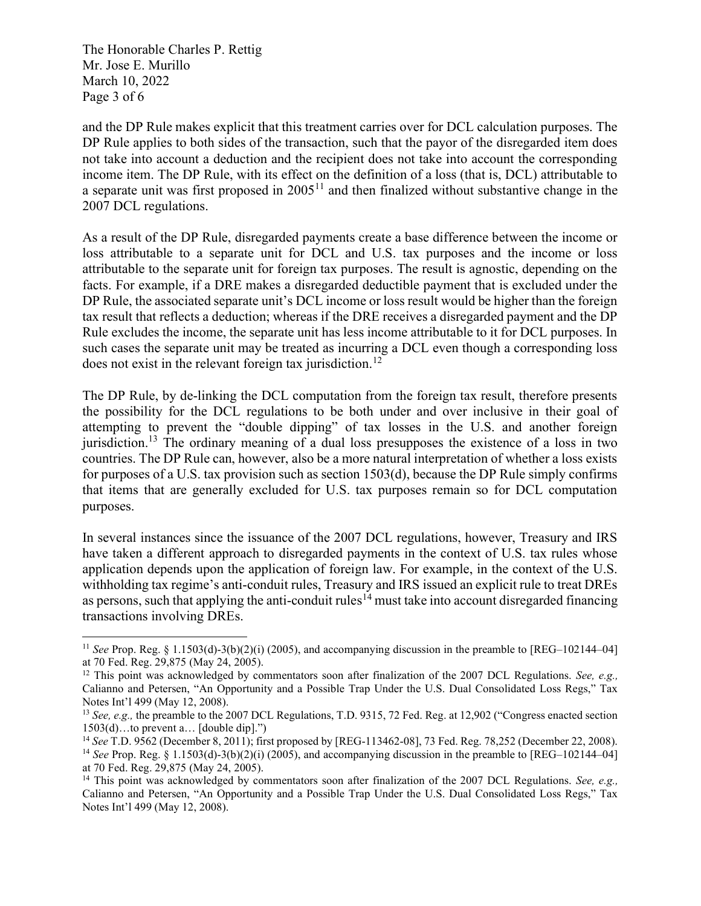The Honorable Charles P. Rettig Mr. Jose E. Murillo March 10, 2022 Page 3 of 6

and the DP Rule makes explicit that this treatment carries over for DCL calculation purposes. The DP Rule applies to both sides of the transaction, such that the payor of the disregarded item does not take into account a deduction and the recipient does not take into account the corresponding income item. The DP Rule, with its effect on the definition of a loss (that is, DCL) attributable to a separate unit was first proposed in  $2005<sup>11</sup>$  and then finalized without substantive change in the 2007 DCL regulations.

As a result of the DP Rule, disregarded payments create a base difference between the income or loss attributable to a separate unit for DCL and U.S. tax purposes and the income or loss attributable to the separate unit for foreign tax purposes. The result is agnostic, depending on the facts. For example, if a DRE makes a disregarded deductible payment that is excluded under the DP Rule, the associated separate unit's DCL income or loss result would be higher than the foreign tax result that reflects a deduction; whereas if the DRE receives a disregarded payment and the DP Rule excludes the income, the separate unit has less income attributable to it for DCL purposes. In such cases the separate unit may be treated as incurring a DCL even though a corresponding loss does not exist in the relevant foreign tax jurisdiction.<sup>12</sup>

The DP Rule, by de-linking the DCL computation from the foreign tax result, therefore presents the possibility for the DCL regulations to be both under and over inclusive in their goal of attempting to prevent the "double dipping" of tax losses in the U.S. and another foreign jurisdiction.<sup>13</sup> The ordinary meaning of a dual loss presupposes the existence of a loss in two countries. The DP Rule can, however, also be a more natural interpretation of whether a loss exists for purposes of a U.S. tax provision such as section 1503(d), because the DP Rule simply confirms that items that are generally excluded for U.S. tax purposes remain so for DCL computation purposes.

In several instances since the issuance of the 2007 DCL regulations, however, Treasury and IRS have taken a different approach to disregarded payments in the context of U.S. tax rules whose application depends upon the application of foreign law. For example, in the context of the U.S. withholding tax regime's anti-conduit rules, Treasury and IRS issued an explicit rule to treat DREs as persons, such that applying the anti-conduit rules<sup> $14$ </sup> must take into account disregarded financing transactions involving DREs.

<sup>&</sup>lt;sup>11</sup> See Prop. Reg. § 1.1503(d)-3(b)(2)(i) (2005), and accompanying discussion in the preamble to [REG–102144–04] at 70 Fed. Reg. 29,875 (May 24, 2005).

<sup>&</sup>lt;sup>12</sup> This point was acknowledged by commentators soon after finalization of the 2007 DCL Regulations. See, e.g., Calianno and Petersen, "An Opportunity and a Possible Trap Under the U.S. Dual Consolidated Loss Regs," Tax Notes Int'l 499 (May 12, 2008).

<sup>&</sup>lt;sup>13</sup> See, e.g., the preamble to the 2007 DCL Regulations, T.D. 9315, 72 Fed. Reg. at 12,902 ("Congress enacted section 1503(d)…to prevent a… [double dip].")

<sup>&</sup>lt;sup>14</sup> See T.D. 9562 (December 8, 2011); first proposed by [REG-113462-08], 73 Fed. Reg. 78,252 (December 22, 2008). <sup>14</sup> See Prop. Reg. § 1.1503(d)-3(b)(2)(i) (2005), and accompanying discussion in the preamble to [REG–102144–04] at 70 Fed. Reg. 29,875 (May 24, 2005).

<sup>&</sup>lt;sup>14</sup> This point was acknowledged by commentators soon after finalization of the 2007 DCL Regulations. See, e.g., Calianno and Petersen, "An Opportunity and a Possible Trap Under the U.S. Dual Consolidated Loss Regs," Tax Notes Int'l 499 (May 12, 2008).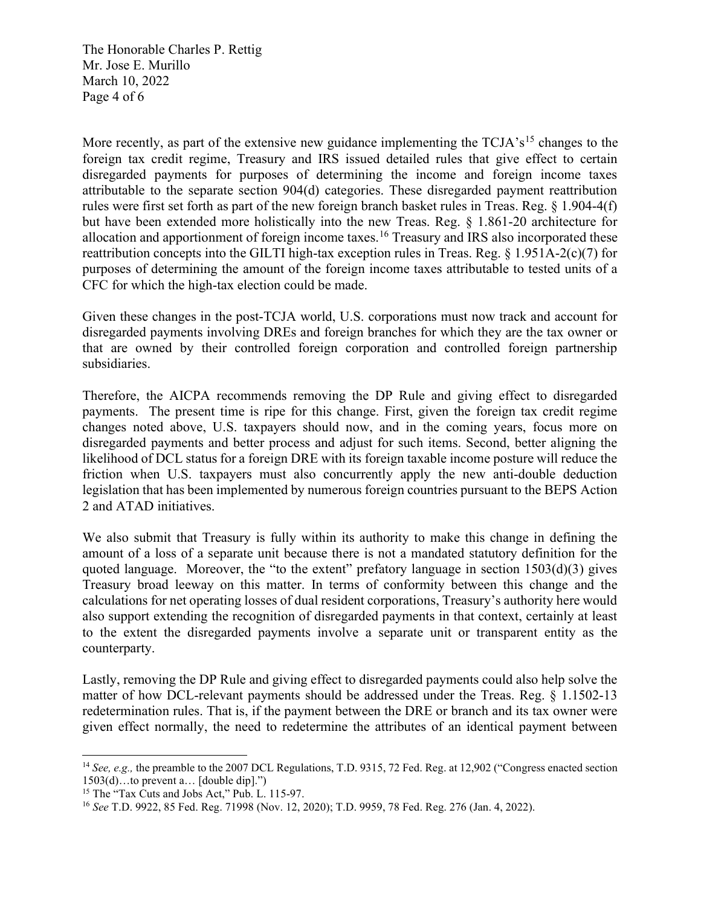The Honorable Charles P. Rettig Mr. Jose E. Murillo March 10, 2022 Page 4 of 6

More recently, as part of the extensive new guidance implementing the  $TCJA's<sup>15</sup>$  changes to the foreign tax credit regime, Treasury and IRS issued detailed rules that give effect to certain disregarded payments for purposes of determining the income and foreign income taxes attributable to the separate section 904(d) categories. These disregarded payment reattribution rules were first set forth as part of the new foreign branch basket rules in Treas. Reg. § 1.904-4(f) but have been extended more holistically into the new Treas. Reg. § 1.861-20 architecture for allocation and apportionment of foreign income taxes.<sup>16</sup> Treasury and IRS also incorporated these reattribution concepts into the GILTI high-tax exception rules in Treas. Reg. § 1.951A-2(c)(7) for purposes of determining the amount of the foreign income taxes attributable to tested units of a CFC for which the high-tax election could be made.

Given these changes in the post-TCJA world, U.S. corporations must now track and account for disregarded payments involving DREs and foreign branches for which they are the tax owner or that are owned by their controlled foreign corporation and controlled foreign partnership subsidiaries.

Therefore, the AICPA recommends removing the DP Rule and giving effect to disregarded payments. The present time is ripe for this change. First, given the foreign tax credit regime changes noted above, U.S. taxpayers should now, and in the coming years, focus more on disregarded payments and better process and adjust for such items. Second, better aligning the likelihood of DCL status for a foreign DRE with its foreign taxable income posture will reduce the friction when U.S. taxpayers must also concurrently apply the new anti-double deduction legislation that has been implemented by numerous foreign countries pursuant to the BEPS Action 2 and ATAD initiatives.

We also submit that Treasury is fully within its authority to make this change in defining the amount of a loss of a separate unit because there is not a mandated statutory definition for the quoted language. Moreover, the "to the extent" prefatory language in section  $1503(d)(3)$  gives Treasury broad leeway on this matter. In terms of conformity between this change and the calculations for net operating losses of dual resident corporations, Treasury's authority here would also support extending the recognition of disregarded payments in that context, certainly at least to the extent the disregarded payments involve a separate unit or transparent entity as the counterparty.

Lastly, removing the DP Rule and giving effect to disregarded payments could also help solve the matter of how DCL-relevant payments should be addressed under the Treas. Reg. § 1.1502-13 redetermination rules. That is, if the payment between the DRE or branch and its tax owner were given effect normally, the need to redetermine the attributes of an identical payment between

<sup>&</sup>lt;sup>14</sup> See, e.g., the preamble to the 2007 DCL Regulations, T.D. 9315, 72 Fed. Reg. at 12,902 ("Congress enacted section 1503(d)…to prevent a… [double dip].")

<sup>&</sup>lt;sup>15</sup> The "Tax Cuts and Jobs Act," Pub. L. 115-97.

<sup>16</sup> See T.D. 9922, 85 Fed. Reg. 71998 (Nov. 12, 2020); T.D. 9959, 78 Fed. Reg. 276 (Jan. 4, 2022).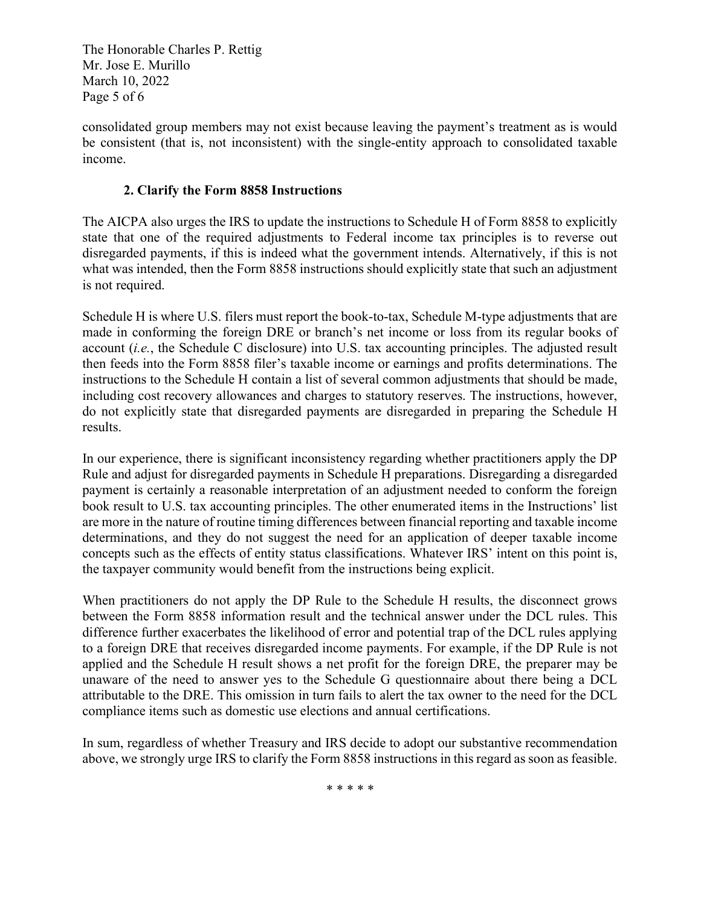The Honorable Charles P. Rettig Mr. Jose E. Murillo March 10, 2022 Page 5 of 6

consolidated group members may not exist because leaving the payment's treatment as is would be consistent (that is, not inconsistent) with the single-entity approach to consolidated taxable income.

## 2. Clarify the Form 8858 Instructions

The AICPA also urges the IRS to update the instructions to Schedule H of Form 8858 to explicitly state that one of the required adjustments to Federal income tax principles is to reverse out disregarded payments, if this is indeed what the government intends. Alternatively, if this is not what was intended, then the Form 8858 instructions should explicitly state that such an adjustment is not required.

Schedule H is where U.S. filers must report the book-to-tax, Schedule M-type adjustments that are made in conforming the foreign DRE or branch's net income or loss from its regular books of account (i.e., the Schedule C disclosure) into U.S. tax accounting principles. The adjusted result then feeds into the Form 8858 filer's taxable income or earnings and profits determinations. The instructions to the Schedule H contain a list of several common adjustments that should be made, including cost recovery allowances and charges to statutory reserves. The instructions, however, do not explicitly state that disregarded payments are disregarded in preparing the Schedule H results.

In our experience, there is significant inconsistency regarding whether practitioners apply the DP Rule and adjust for disregarded payments in Schedule H preparations. Disregarding a disregarded payment is certainly a reasonable interpretation of an adjustment needed to conform the foreign book result to U.S. tax accounting principles. The other enumerated items in the Instructions' list are more in the nature of routine timing differences between financial reporting and taxable income determinations, and they do not suggest the need for an application of deeper taxable income concepts such as the effects of entity status classifications. Whatever IRS' intent on this point is, the taxpayer community would benefit from the instructions being explicit.

When practitioners do not apply the DP Rule to the Schedule H results, the disconnect grows between the Form 8858 information result and the technical answer under the DCL rules. This difference further exacerbates the likelihood of error and potential trap of the DCL rules applying to a foreign DRE that receives disregarded income payments. For example, if the DP Rule is not applied and the Schedule H result shows a net profit for the foreign DRE, the preparer may be unaware of the need to answer yes to the Schedule G questionnaire about there being a DCL attributable to the DRE. This omission in turn fails to alert the tax owner to the need for the DCL compliance items such as domestic use elections and annual certifications.

In sum, regardless of whether Treasury and IRS decide to adopt our substantive recommendation above, we strongly urge IRS to clarify the Form 8858 instructions in this regard as soon as feasible.

\* \* \* \* \*